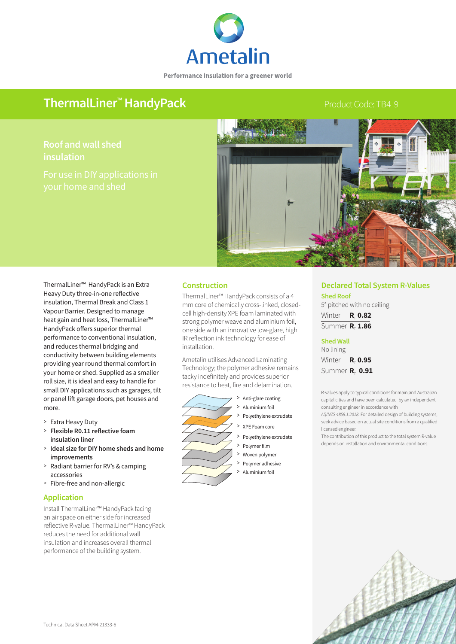

Performance insulation for a greener world

# ThermalLiner<sup>™</sup> HandyPack **Product Code: TB4-9** Product Code: TB4-9

# **Roof and wall shed insulation**



ThermalLiner™ HandyPack is an Extra Heavy Duty three-in-one reflective insulation, Thermal Break and Class 1 Vapour Barrier. Designed to manage heat gain and heat loss, ThermalLiner™ HandyPack offers superior thermal performance to conventional insulation, and reduces thermal bridging and conductivity between building elements providing year round thermal comfort in your home or shed. Supplied as a smaller roll size, it is ideal and easy to handle for small DIY applications such as garages, tilt or panel lift garage doors, pet houses and more.

- > Extra Heavy Duty
- > **Flexible R0.11 reflective foam insulation liner**
- > **Ideal size for DIY home sheds and home improvements**
- >Radiant barrier for RV's & camping accessories
- > Fibre-free and non-allergic

### **Application**

Install ThermalLiner™ HandyPack facing an air space on either side for increased reflective R-value. ThermalLiner™ HandyPack reduces the need for additional wall insulation and increases overall thermal performance of the building system.

#### **Construction**

ThermalLiner™ HandyPack consists of a 4 mm core of chemically cross-linked, closedcell high-density XPE foam laminated with strong polymer weave and aluminium foil, one side with an innovative low-glare, high IR reflection ink technology for ease of installation.

Ametalin utilises Advanced Laminating Technology; the polymer adhesive remains tacky indefinitely and provides superior resistance to heat, fire and delamination.



## **Declared Total System R-Values**

**Shed Roof** 5° pitched with no ceiling Winter **R**<sub>T</sub> 0.82 Summer **R**<sub>T</sub> 1.86

**Shed Wall** No lining Winter **R**<sub>T</sub> 0.95

Summer **R**<sub>T</sub> 0.91

R-values apply to typical conditions for mainland Australian capital cities and have been calculated by an independent consulting engineer in accordance with

*AS/NZS 4859.1:2018*. For detailed design of building systems, seek advice based on actual site conditions from a qualified licensed engineer.

The contribution of this product to the total system R-value depends on installation and environmental conditions.



- > Woven polymer
- Polymer adhesive Protyfier adhesive<br>
> Aluminium foil